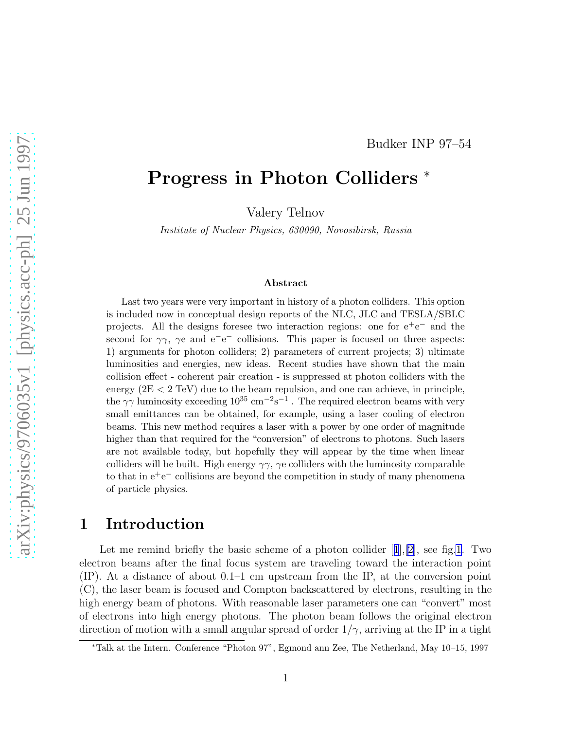#### Budker INP 97–54

# Progress in Photon Colliders <sup>∗</sup>

Valery Telnov

Institute of Nuclear Physics, 630090, Novosibirsk, Russia

#### Abstract

Last two years were very important in history of a photon colliders. This option is included now in conceptual design reports of the NLC, JLC and TESLA/SBLC projects. All the designs foresee two interaction regions: one for  $e^+e^-$  and the second for  $\gamma\gamma$ ,  $\gamma e$  and  $e^-e^-$  collisions. This paper is focused on three aspects: 1) arguments for photon colliders; 2) parameters of current projects; 3) ultimate luminosities and energies, new ideas. Recent studies have shown that the main collision effect - coherent pair creation - is suppressed at photon colliders with the energy (2E < 2 TeV) due to the beam repulsion, and one can achieve, in principle, the  $\gamma\gamma$  luminosity exceeding  $10^{35}$  cm<sup>-2</sup>s<sup>-1</sup>. The required electron beams with very small emittances can be obtained, for example, using a laser cooling of electron beams. This new method requires a laser with a power by one order of magnitude higher than that required for the "conversion" of electrons to photons. Such lasers are not available today, but hopefully they will appear by the time when linear colliders will be built. High energy  $\gamma\gamma$ ,  $\gamma$  colliders with the luminosity comparable to that in  $e^+e^-$  collisions are beyond the competition in study of many phenomena of particle physics.

### 1 Introduction

Letme remind briefly the basic scheme of a photon collider  $[1], [2]$  $[1], [2]$  $[1], [2]$  $[1], [2]$ , see fig[.1](#page-1-0). Two electron beams after the final focus system are traveling toward the interaction point (IP). At a distance of about 0.1–1 cm upstream from the IP, at the conversion point (C), the laser beam is focused and Compton backscattered by electrons, resulting in the high energy beam of photons. With reasonable laser parameters one can "convert" most of electrons into high energy photons. The photon beam follows the original electron direction of motion with a small angular spread of order  $1/\gamma$ , arriving at the IP in a tight

<sup>∗</sup>Talk at the Intern. Conference "Photon 97", Egmond ann Zee, The Netherland, May 10–15, 1997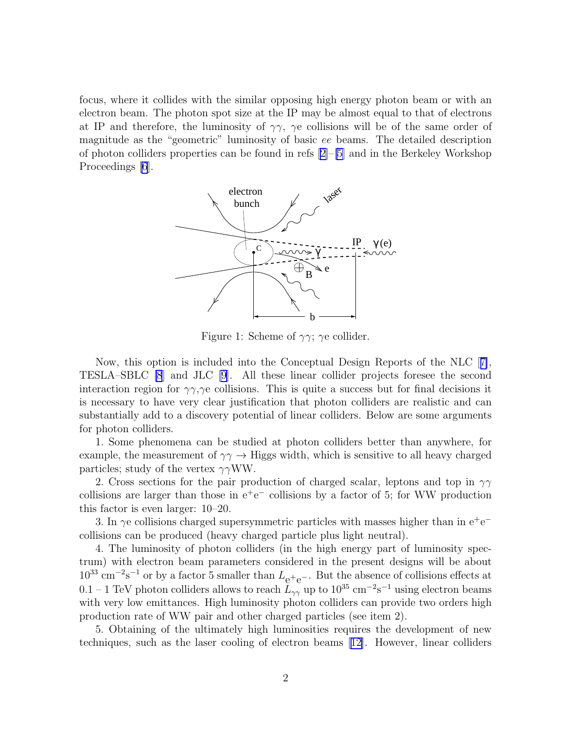<span id="page-1-0"></span>focus, where it collides with the similar opposing high energy photon beam or with an electron beam. The photon spot size at the IP may be almost equal to that of electrons at IP and therefore, the luminosity of  $\gamma\gamma$ ,  $\gamma$ e collisions will be of the same order of magnitude as the "geometric" luminosity of basic ee beams. The detailed description of photon colliders properties can be found in refs  $[2]-[5]$  $[2]-[5]$  $[2]-[5]$  and in the Berkeley Workshop Proceedings  $|6|$ .



Figure 1: Scheme of  $\gamma\gamma$ ;  $\gamma$ e collider.

Now, this option is included into the Conceptual Design Reports of the NLC[[7\]](#page-9-0), TESLA–SBLC [\[8](#page-9-0)] and JLC [\[9](#page-9-0)]. All these linear collider projects foresee the second interaction region for  $\gamma\gamma$ ,  $\gamma$ e collisions. This is quite a success but for final decisions it is necessary to have very clear justification that photon colliders are realistic and can substantially add to a discovery potential of linear colliders. Below are some arguments for photon colliders.

1. Some phenomena can be studied at photon colliders better than anywhere, for example, the measurement of  $\gamma\gamma \rightarrow$  Higgs width, which is sensitive to all heavy charged particles; study of the vertex  $\gamma\gamma WW$ .

2. Cross sections for the pair production of charged scalar, leptons and top in  $\gamma\gamma$ collisions are larger than those in  $e^+e^-$  collisions by a factor of 5; for WW production this factor is even larger: 10–20.

3. In  $\gamma$ e collisions charged supersymmetric particles with masses higher than in e<sup>+</sup>e<sup>-</sup> collisions can be produced (heavy charged particle plus light neutral).

4. The luminosity of photon colliders (in the high energy part of luminosity spectrum) with electron beam parameters considered in the present designs will be about  $10^{33}$  cm<sup>-2</sup>s<sup>-1</sup> or by a factor 5 smaller than  $L_{e^+e^-}$ . But the absence of collisions effects at 0.1 – 1 TeV photon colliders allows to reach  $\widetilde{L}_{\gamma\gamma}$  up to  $10^{35}$  cm<sup>-2</sup>s<sup>-1</sup> using electron beams with very low emittances. High luminosity photon colliders can provide two orders high production rate of WW pair and other charged particles (see item 2).

5. Obtaining of the ultimately high luminosities requires the development of new techniques, such as the laser cooling of electron beams[[12\]](#page-10-0). However, linear colliders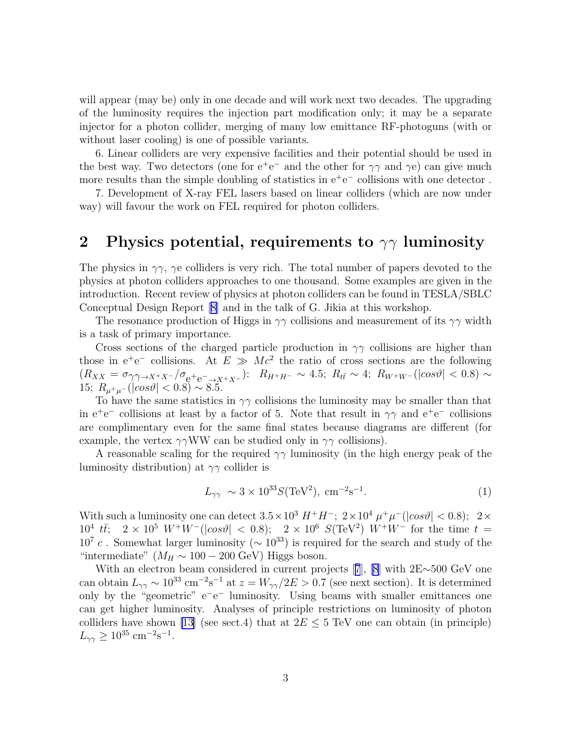will appear (may be) only in one decade and will work next two decades. The upgrading of the luminosity requires the injection part modification only; it may be a separate injector for a photon collider, merging of many low emittance RF-photoguns (with or without laser cooling) is one of possible variants.

6. Linear colliders are very expensive facilities and their potential should be used in the best way. Two detectors (one for  $e^+e^-$  and the other for  $\gamma\gamma$  and  $\gamma e$ ) can give much more results than the simple doubling of statistics in  $e^+e^-$  collisions with one detector.

7. Development of X-ray FEL lasers based on linear colliders (which are now under way) will favour the work on FEL required for photon colliders.

### 2 Physics potential, requirements to  $\gamma\gamma$  luminosity

The physics in  $\gamma\gamma$ ,  $\gamma$ e colliders is very rich. The total number of papers devoted to the physics at photon colliders approaches to one thousand. Some examples are given in the introduction. Recent review of physics at photon colliders can be found in TESLA/SBLC Conceptual Design Report[[8\]](#page-9-0) and in the talk of G. Jikia at this workshop.

The resonance production of Higgs in  $\gamma\gamma$  collisions and measurement of its  $\gamma\gamma$  width is a task of primary importance.

Cross sections of the charged particle production in  $\gamma\gamma$  collisions are higher than those in  $e^+e^-$  collisions. At  $E \gg Mc^2$  the ratio of cross sections are the following  $(R_{XX} = \sigma_{\gamma\gamma \to X^+ X^-}/\sigma_{\rm e^+ e^- \to X^+ X^-})$ :  $R_{H^+ H^-} \sim 4.5$ ;  $R_{t\bar{t}} \sim 4$ ;  $R_{W^+ W^-}$ (| $\cos \vartheta$ | < 0.8)  $\sim$ 15;  $R_{\mu^+\mu^-}(|cos \vartheta| < 0.8) \sim 8.5$ .

To have the same statistics in  $\gamma\gamma$  collisions the luminosity may be smaller than that in  $e^+e^-$  collisions at least by a factor of 5. Note that result in  $\gamma\gamma$  and  $e^+e^-$  collisions are complimentary even for the same final states because diagrams are different (for example, the vertex  $\gamma\gamma WW$  can be studied only in  $\gamma\gamma$  collisions).

A reasonable scaling for the required  $\gamma\gamma$  luminosity (in the high energy peak of the luminosity distribution) at  $\gamma\gamma$  collider is

$$
L_{\gamma\gamma} \sim 3 \times 10^{33} S(\text{TeV}^2), \text{ cm}^{-2} \text{s}^{-1}.
$$
 (1)

With such a luminosity one can detect  $3.5 \times 10^3$   $H^+H^-$ ;  $2 \times 10^4$   $\mu^+\mu^-$  ( $|cos\theta|$  < 0.8);  $2 \times$  $10^4$   $t\bar{t}$ ;  $2 \times 10^5$   $W^+W^-$  ( $|cos\vartheta|$  < 0.8);  $2 \times 10^6$   $S(\text{TeV}^2)$   $W^+W^-$  for the time  $t =$  $10^7$  c. Somewhat larger luminosity ( $\sim 10^{33}$ ) is required for the search and study of the "intermediate" ( $M_H \sim 100 - 200$  GeV) Higgs boson.

With an electron beam considered in current projects[[7](#page-9-0)], [\[8\]](#page-9-0) with 2E∼500 GeV one can obtain  $L_{\gamma\gamma} \sim 10^{33} \text{ cm}^{-2} \text{s}^{-1}$  at  $z = W_{\gamma\gamma}/2E > 0.7$  (see next section). It is determined only by the "geometric" e<sup>−</sup>e<sup>−</sup> luminosity. Using beams with smaller emittances one can get higher luminosity. Analyses of principle restrictions on luminosity of photon colliders have shown [\[13](#page-10-0)] (see sect.4) that at  $2E \le 5$  TeV one can obtain (in principle)  $L_{\gamma\gamma} \ge 10^{35}$  cm<sup>-2</sup>s<sup>-1</sup>.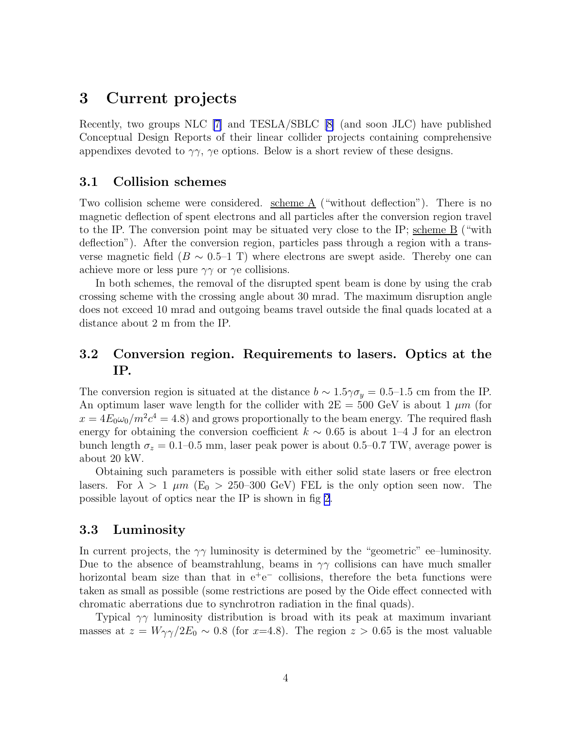### 3 Current projects

Recently, two groups NLC [\[7](#page-9-0)] and TESLA/SBLC[[8\]](#page-9-0) (and soon JLC) have published Conceptual Design Reports of their linear collider projects containing comprehensive appendixes devoted to  $\gamma\gamma$ ,  $\gamma$ e options. Below is a short review of these designs.

### 3.1 Collision schemes

Two collision scheme were considered. scheme  $\underline{A}$  ("without deflection"). There is no magnetic deflection of spent electrons and all particles after the conversion region travel to the IP. The conversion point may be situated very close to the IP; scheme B ("with deflection"). After the conversion region, particles pass through a region with a transverse magnetic field ( $B \sim 0.5$ –1 T) where electrons are swept aside. Thereby one can achieve more or less pure  $\gamma\gamma$  or  $\gamma$ e collisions.

In both schemes, the removal of the disrupted spent beam is done by using the crab crossing scheme with the crossing angle about 30 mrad. The maximum disruption angle does not exceed 10 mrad and outgoing beams travel outside the final quads located at a distance about 2 m from the IP.

### 3.2 Conversion region. Requirements to lasers. Optics at the IP.

The conversion region is situated at the distance  $b \sim 1.5\gamma\sigma_y = 0.5$ –1.5 cm from the IP. An optimum laser wave length for the collider with  $2E = 500$  GeV is about 1  $\mu$ m (for  $x = 4E_0\omega_0/m^2c^4 = 4.8$ ) and grows proportionally to the beam energy. The required flash energy for obtaining the conversion coefficient  $k \sim 0.65$  is about 1–4 J for an electron bunch length  $\sigma_z = 0.1{\text{-}}0.5$  mm, laser peak power is about 0.5–0.7 TW, average power is about 20 kW.

Obtaining such parameters is possible with either solid state lasers or free electron lasers. For  $\lambda > 1$   $\mu$ m (E<sub>0</sub> > 250–300 GeV) FEL is the only option seen now. The possible layout of optics near the IP is shown in fig [2](#page-4-0).

#### 3.3 Luminosity

In current projects, the  $\gamma\gamma$  luminosity is determined by the "geometric" ee–luminosity. Due to the absence of beamstrahlung, beams in  $\gamma\gamma$  collisions can have much smaller horizontal beam size than that in  $e^+e^-$  collisions, therefore the beta functions were taken as small as possible (some restrictions are posed by the Oide effect connected with chromatic aberrations due to synchrotron radiation in the final quads).

Typical  $\gamma\gamma$  luminosity distribution is broad with its peak at maximum invariant masses at  $z = W_{\gamma\gamma}/2E_0 \sim 0.8$  (for x=4.8). The region  $z > 0.65$  is the most valuable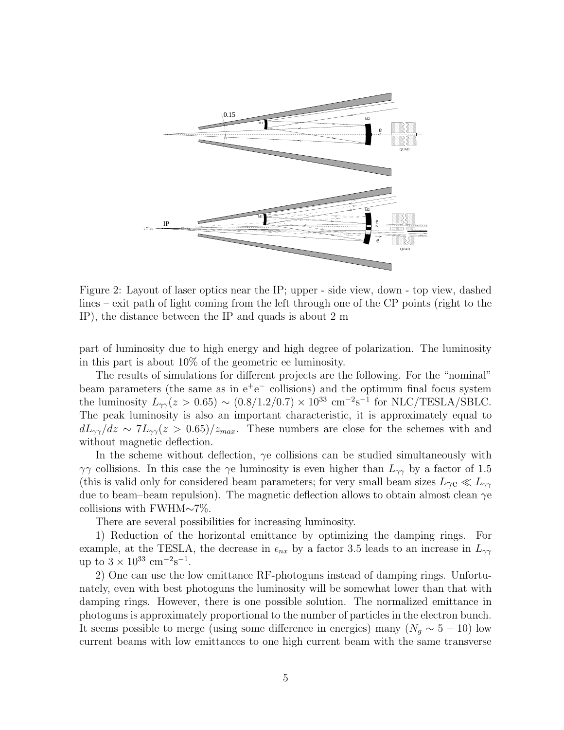<span id="page-4-0"></span>

Figure 2: Layout of laser optics near the IP; upper - side view, down - top view, dashed lines – exit path of light coming from the left through one of the CP points (right to the IP), the distance between the IP and quads is about 2 m

part of luminosity due to high energy and high degree of polarization. The luminosity in this part is about 10% of the geometric ee luminosity.

The results of simulations for different projects are the following. For the "nominal" beam parameters (the same as in  $e^+e^-$  collisions) and the optimum final focus system the luminosity  $L_{\gamma\gamma}(z > 0.65) \sim (0.8/1.2/0.7) \times 10^{33} \text{ cm}^{-2} \text{s}^{-1}$  for NLC/TESLA/SBLC. The peak luminosity is also an important characteristic, it is approximately equal to  $dL_{\gamma\gamma}/dz \sim 7L_{\gamma\gamma}(z > 0.65)/z_{max}$ . These numbers are close for the schemes with and without magnetic deflection.

In the scheme without deflection,  $\gamma e$  collisions can be studied simultaneously with  $\gamma\gamma$  collisions. In this case the  $\gamma e$  luminosity is even higher than  $L_{\gamma\gamma}$  by a factor of 1.5 (this is valid only for considered beam parameters; for very small beam sizes  $L_{\gamma e} \ll L_{\gamma \gamma}$ due to beam–beam repulsion). The magnetic deflection allows to obtain almost clean  $\gamma$ e collisions with FWHM∼7%.

There are several possibilities for increasing luminosity.

1) Reduction of the horizontal emittance by optimizing the damping rings. For example, at the TESLA, the decrease in  $\epsilon_{nx}$  by a factor 3.5 leads to an increase in  $L_{\gamma\gamma}$ up to  $3 \times 10^{33}$  cm<sup>-2</sup>s<sup>-1</sup>.

2) One can use the low emittance RF-photoguns instead of damping rings. Unfortunately, even with best photoguns the luminosity will be somewhat lower than that with damping rings. However, there is one possible solution. The normalized emittance in photoguns is approximately proportional to the number of particles in the electron bunch. It seems possible to merge (using some difference in energies) many  $(N_a \sim 5 - 10)$  low current beams with low emittances to one high current beam with the same transverse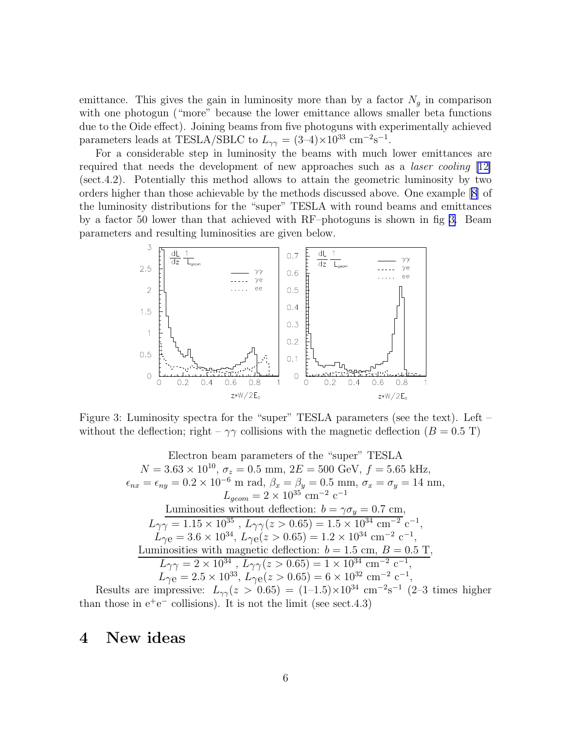emittance. This gives the gain in luminosity more than by a factor  $N<sub>g</sub>$  in comparison with one photogun ("more" because the lower emittance allows smaller beta functions due to the Oide effect). Joining beams from five photoguns with experimentally achieved parameters leads at TESLA/SBLC to  $L_{\gamma\gamma} = (3-4) \times 10^{33} \text{ cm}^{-2} \text{s}^{-1}$ .

For a considerable step in luminosity the beams with much lower emittances are required that needs the development of new approaches such as a laser cooling [\[12\]](#page-10-0) (sect.4.2). Potentially this method allows to attain the geometric luminosity by two orders higher than those achievable by the methods discussed above. One example [\[8\]](#page-9-0) of the luminosity distributions for the "super" TESLA with round beams and emittances by a factor 50 lower than that achieved with RF–photoguns is shown in fig 3. Beam parameters and resulting luminosities are given below.



Figure 3: Luminosity spectra for the "super" TESLA parameters (see the text). Left – without the deflection; right –  $\gamma\gamma$  collisions with the magnetic deflection ( $B = 0.5$  T)

Electron beam parameters of the "super" TESLA  
\n
$$
N = 3.63 \times 10^{10}
$$
,  $\sigma_z = 0.5$  mm,  $2E = 500$  GeV,  $f = 5.65$  kHz,  
\n $\epsilon_{nx} = \epsilon_{ny} = 0.2 \times 10^{-6}$  m rad,  $\beta_x = \beta_y = 0.5$  mm,  $\sigma_x = \sigma_y = 14$  nm,  
\n $L_{geom} = 2 \times 10^{35}$  cm<sup>-2</sup> c<sup>-1</sup>  
\nLuminosities without deflection:  $b = \gamma \sigma_y = 0.7$  cm,  
\n $L_{\gamma\gamma} = 1.15 \times 10^{35}$ ,  $L_{\gamma\gamma}(z > 0.65) = 1.5 \times 10^{34}$  cm<sup>-2</sup> c<sup>-1</sup>,  
\n $L_{\gamma e} = 3.6 \times 10^{34}$ ,  $L_{\gamma e}(z > 0.65) = 1.2 \times 10^{34}$  cm<sup>-2</sup> c<sup>-1</sup>,  
\nLuminosities with magnetic deflection:  $b = 1.5$  cm,  $B = 0.5$  T,  
\n $L_{\gamma\gamma} = 2 \times 10^{34}$ ,  $L_{\gamma\gamma}(z > 0.65) = 1 \times 10^{34}$  cm<sup>-2</sup> c<sup>-1</sup>,  
\n $L_{\gamma e} = 2.5 \times 10^{33}$ ,  $L_{\gamma e}(z > 0.65) = 6 \times 10^{32}$  cm<sup>-2</sup> c<sup>-1</sup>,

Results are impressive:  $L_{\gamma\gamma}(z > 0.65) = (1-1.5) \times 10^{34}$  cm<sup>-2</sup>s<sup>-1</sup> (2-3 times higher than those in  $e^+e^-$  collisions). It is not the limit (see sect.4.3)

### 4 New ideas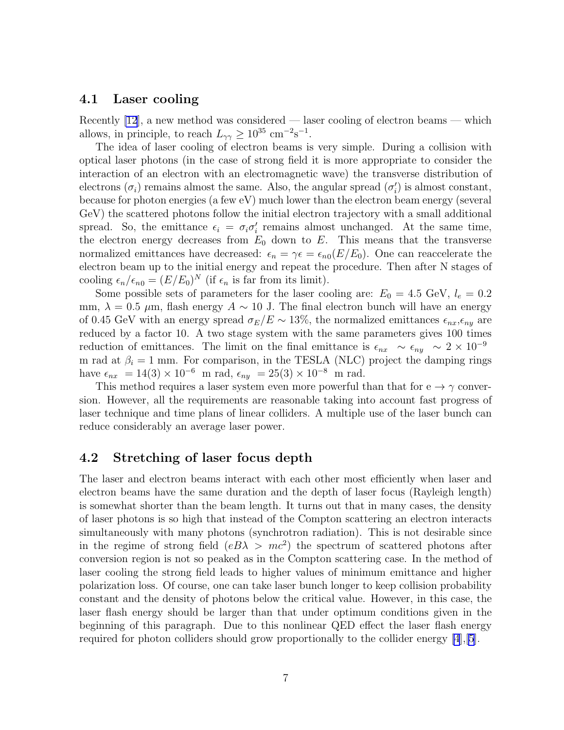#### 4.1 Laser cooling

Recently [\[12](#page-10-0)], a new method was considered — laser cooling of electron beams — which allows, in principle, to reach  $L_{\gamma\gamma} \geq 10^{35}$  cm<sup>-2</sup>s<sup>-1</sup>.

The idea of laser cooling of electron beams is very simple. During a collision with optical laser photons (in the case of strong field it is more appropriate to consider the interaction of an electron with an electromagnetic wave) the transverse distribution of electrons  $(\sigma_i)$  remains almost the same. Also, the angular spread  $(\sigma_i')$  $i$ ) is almost constant, because for photon energies (a few eV) much lower than the electron beam energy (several GeV) the scattered photons follow the initial electron trajectory with a small additional spread. So, the emittance  $\epsilon_i = \sigma_i \sigma'_i$  $i$  remains almost unchanged. At the same time, the electron energy decreases from  $E_0$  down to E. This means that the transverse normalized emittances have decreased:  $\epsilon_n = \gamma \epsilon = \epsilon_{n0}(E/E_0)$ . One can reaccelerate the electron beam up to the initial energy and repeat the procedure. Then after N stages of cooling  $\epsilon_n/\epsilon_{n0} = (E/E_0)^N$  (if  $\epsilon_n$  is far from its limit).

Some possible sets of parameters for the laser cooling are:  $E_0 = 4.5$  GeV,  $l_e = 0.2$ mm,  $\lambda = 0.5 \mu$ m, flash energy  $A \sim 10$  J. The final electron bunch will have an energy of 0.45 GeV with an energy spread  $\sigma_E/E \sim 13\%$ , the normalized emittances  $\epsilon_{nx}, \epsilon_{ny}$  are reduced by a factor 10. A two stage system with the same parameters gives 100 times reduction of emittances. The limit on the final emittance is  $\epsilon_{nx} \sim \epsilon_{ny} \sim 2 \times 10^{-9}$ m rad at  $\beta_i = 1$  mm. For comparison, in the TESLA (NLC) project the damping rings have  $\epsilon_{nx} = 14(3) \times 10^{-6}$  m rad,  $\epsilon_{ny} = 25(3) \times 10^{-8}$  m rad.

This method requires a laser system even more powerful than that for  $e \rightarrow \gamma$  conversion. However, all the requirements are reasonable taking into account fast progress of laser technique and time plans of linear colliders. A multiple use of the laser bunch can reduce considerably an average laser power.

#### 4.2 Stretching of laser focus depth

The laser and electron beams interact with each other most efficiently when laser and electron beams have the same duration and the depth of laser focus (Rayleigh length) is somewhat shorter than the beam length. It turns out that in many cases, the density of laser photons is so high that instead of the Compton scattering an electron interacts simultaneously with many photons (synchrotron radiation). This is not desirable since in the regime of strong field  $(eB\lambda > mc^2)$  the spectrum of scattered photons after conversion region is not so peaked as in the Compton scattering case. In the method of laser cooling the strong field leads to higher values of minimum emittance and higher polarization loss. Of course, one can take laser bunch longer to keep collision probability constant and the density of photons below the critical value. However, in this case, the laser flash energy should be larger than that under optimum conditions given in the beginning of this paragraph. Due to this nonlinear QED effect the laser flash energy required for photon colliders should grow proportionally to the collider energy [\[4](#page-9-0)],[\[5\]](#page-9-0).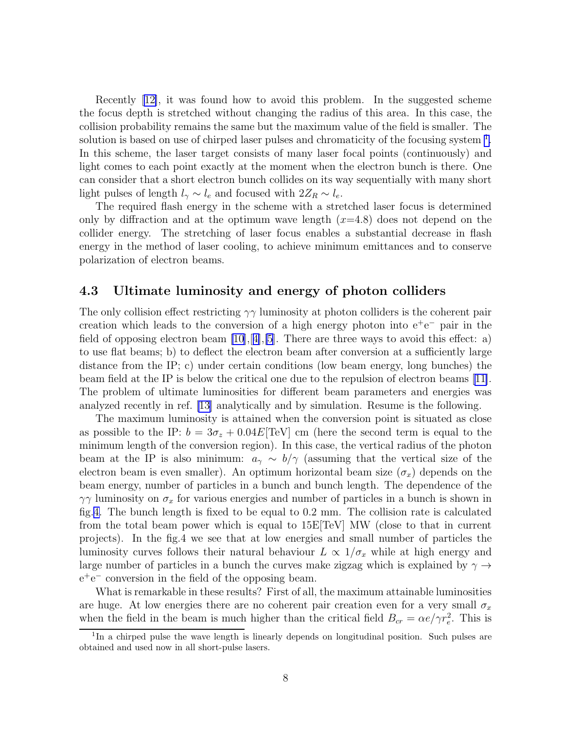Recently[[12\]](#page-10-0), it was found how to avoid this problem. In the suggested scheme the focus depth is stretched without changing the radius of this area. In this case, the collision probability remains the same but the maximum value of the field is smaller. The solution is based on use of chirped laser pulses and chromaticity of the focusing system <sup>1</sup>. In this scheme, the laser target consists of many laser focal points (continuously) and light comes to each point exactly at the moment when the electron bunch is there. One can consider that a short electron bunch collides on its way sequentially with many short light pulses of length  $l_{\gamma} \sim l_e$  and focused with  $2Z_R \sim l_e$ .

The required flash energy in the scheme with a stretched laser focus is determined only by diffraction and at the optimum wave length  $(x=4.8)$  does not depend on the collider energy. The stretching of laser focus enables a substantial decrease in flash energy in the method of laser cooling, to achieve minimum emittances and to conserve polarization of electron beams.

#### 4.3 Ultimate luminosity and energy of photon colliders

The only collision effect restricting  $\gamma\gamma$  luminosity at photon colliders is the coherent pair creation which leads to the conversion of a high energy photon into  $e^+e^-$  pair in the field of opposing electron beam  $[10], [4], [5]$  $[10], [4], [5]$  $[10], [4], [5]$  $[10], [4], [5]$  $[10], [4], [5]$ . There are three ways to avoid this effect: a) to use flat beams; b) to deflect the electron beam after conversion at a sufficiently large distance from the IP; c) under certain conditions (low beam energy, long bunches) the beam field at the IP is below the critical one due to the repulsion of electron beams[[11\]](#page-10-0). The problem of ultimate luminosities for different beam parameters and energies was analyzed recently in ref. [\[13\]](#page-10-0) analytically and by simulation. Resume is the following.

The maximum luminosity is attained when the conversion point is situated as close as possible to the IP:  $b = 3\sigma_z + 0.04E$  [TeV] cm (here the second term is equal to the minimum length of the conversion region). In this case, the vertical radius of the photon beam at the IP is also minimum:  $a_{\gamma} \sim b/\gamma$  (assuming that the vertical size of the electron beam is even smaller). An optimum horizontal beam size  $(\sigma_x)$  depends on the beam energy, number of particles in a bunch and bunch length. The dependence of the  $\gamma\gamma$  luminosity on  $\sigma_x$  for various energies and number of particles in a bunch is shown in fig.[4.](#page-8-0) The bunch length is fixed to be equal to 0.2 mm. The collision rate is calculated from the total beam power which is equal to  $15E[TeV]$  MW (close to that in current projects). In the fig.4 we see that at low energies and small number of particles the luminosity curves follows their natural behaviour  $L \propto 1/\sigma_x$  while at high energy and large number of particles in a bunch the curves make zigzag which is explained by  $\gamma \rightarrow$ e +e <sup>−</sup> conversion in the field of the opposing beam.

What is remarkable in these results? First of all, the maximum attainable luminosities are huge. At low energies there are no coherent pair creation even for a very small  $\sigma_x$ when the field in the beam is much higher than the critical field  $B_{cr} = \alpha e / \gamma r_e^2$ . This is

<sup>&</sup>lt;sup>1</sup>In a chirped pulse the wave length is linearly depends on longitudinal position. Such pulses are obtained and used now in all short-pulse lasers.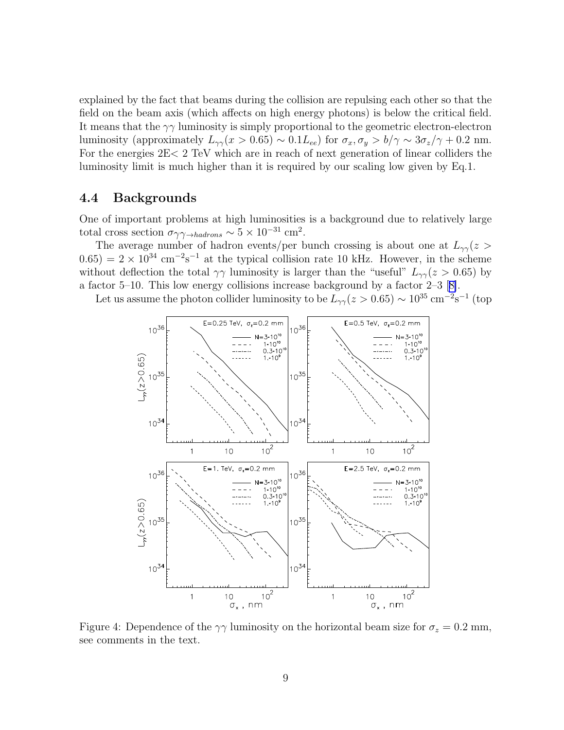<span id="page-8-0"></span>explained by the fact that beams during the collision are repulsing each other so that the field on the beam axis (which affects on high energy photons) is below the critical field. It means that the  $\gamma\gamma$  luminosity is simply proportional to the geometric electron-electron luminosity (approximately  $L_{\gamma\gamma}(x > 0.65) \sim 0.1L_{ee}$ ) for  $\sigma_x, \sigma_y > b/\gamma \sim 3\sigma_z/\gamma + 0.2$  nm. For the energies 2E< 2 TeV which are in reach of next generation of linear colliders the luminosity limit is much higher than it is required by our scaling low given by Eq.1.

#### 4.4 Backgrounds

One of important problems at high luminosities is a background due to relatively large total cross section  $\sigma_{\gamma\gamma\rightarrow hadrons} \sim 5 \times 10^{-31}$  cm<sup>2</sup>.

The average number of hadron events/per bunch crossing is about one at  $L_{\gamma\gamma}(z >$  $(0.65) = 2 \times 10^{34}$  cm<sup>-2</sup>s<sup>-1</sup> at the typical collision rate 10 kHz. However, in the scheme without deflection the total  $\gamma\gamma$  luminosity is larger than the "useful"  $L_{\gamma\gamma}(z > 0.65)$  by a factor 5–10. This low energy collisions increase background by a factor 2–3[[8\]](#page-9-0).

Let us assume the photon collider luminosity to be  $\bar{L}_{\gamma\gamma}(z>0.65) \sim 10^{35} \text{ cm}^{-2} \text{s}^{-1}$  (top



Figure 4: Dependence of the  $\gamma\gamma$  luminosity on the horizontal beam size for  $\sigma_z = 0.2$  mm, see comments in the text.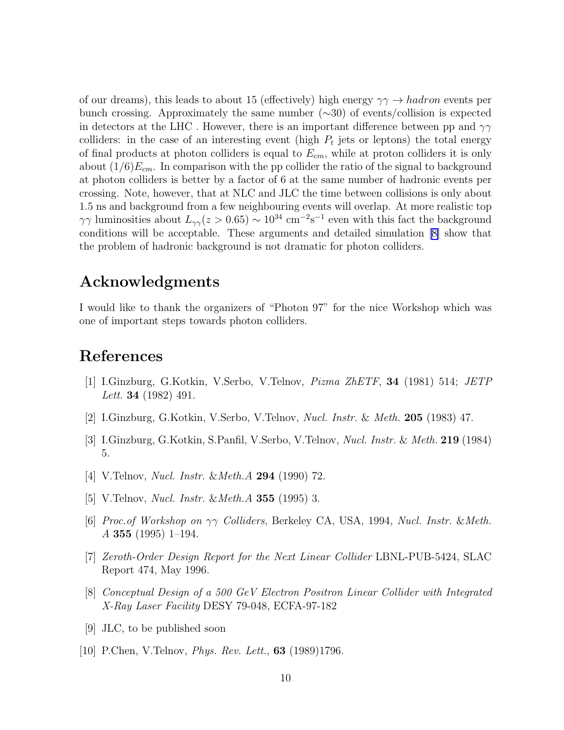<span id="page-9-0"></span>of our dreams), this leads to about 15 (effectively) high energy  $\gamma \gamma \rightarrow hadron$  events per bunch crossing. Approximately the same number (∼30) of events/collision is expected in detectors at the LHC. However, there is an important difference between pp and  $\gamma\gamma$ colliders: in the case of an interesting event (high  $P_t$  jets or leptons) the total energy of final products at photon colliders is equal to  $E_{cm}$ , while at proton colliders it is only about  $(1/6)E_{cm}$ . In comparison with the pp collider the ratio of the signal to background at photon colliders is better by a factor of 6 at the same number of hadronic events per crossing. Note, however, that at NLC and JLC the time between collisions is only about 1.5 ns and background from a few neighbouring events will overlap. At more realistic top  $\gamma\gamma$  luminosities about  $L_{\gamma\gamma}(z>0.65) \sim 10^{34}$  cm<sup>-2</sup>s<sup>-1</sup> even with this fact the background conditions will be acceptable. These arguments and detailed simulation [8] show that the problem of hadronic background is not dramatic for photon colliders.

## Acknowledgments

I would like to thank the organizers of "Photon 97" for the nice Workshop which was one of important steps towards photon colliders.

### References

- [1] I.Ginzburg, G.Kotkin, V.Serbo, V.Telnov, Pizma ZhETF, 34 (1981) 514; JETP Lett. **34** (1982) 491.
- [2] I.Ginzburg, G.Kotkin, V.Serbo, V.Telnov, Nucl. Instr. & Meth. 205 (1983) 47.
- [3] I.Ginzburg, G.Kotkin, S.Panfil, V.Serbo, V.Telnov, Nucl. Instr. & Meth. 219 (1984) 5.
- [4] V.Telnov, *Nucl. Instr. & Meth.A* **294** (1990) 72.
- [5] V.Telnov, *Nucl. Instr. & Meth.A* **355** (1995) 3.
- [6] Proc.of Workshop on  $\gamma\gamma$  Colliders, Berkeley CA, USA, 1994, Nucl. Instr. & Meth.  $A$  355 (1995) 1–194.
- [7] Zeroth-Order Design Report for the Next Linear Collider LBNL-PUB-5424, SLAC Report 474, May 1996.
- [8] Conceptual Design of a 500 GeV Electron Positron Linear Collider with Integrated X-Ray Laser Facility DESY 79-048, ECFA-97-182
- [9] JLC, to be published soon
- [10] P.Chen, V.Telnov, *Phys. Rev. Lett.*, **63** (1989)1796.